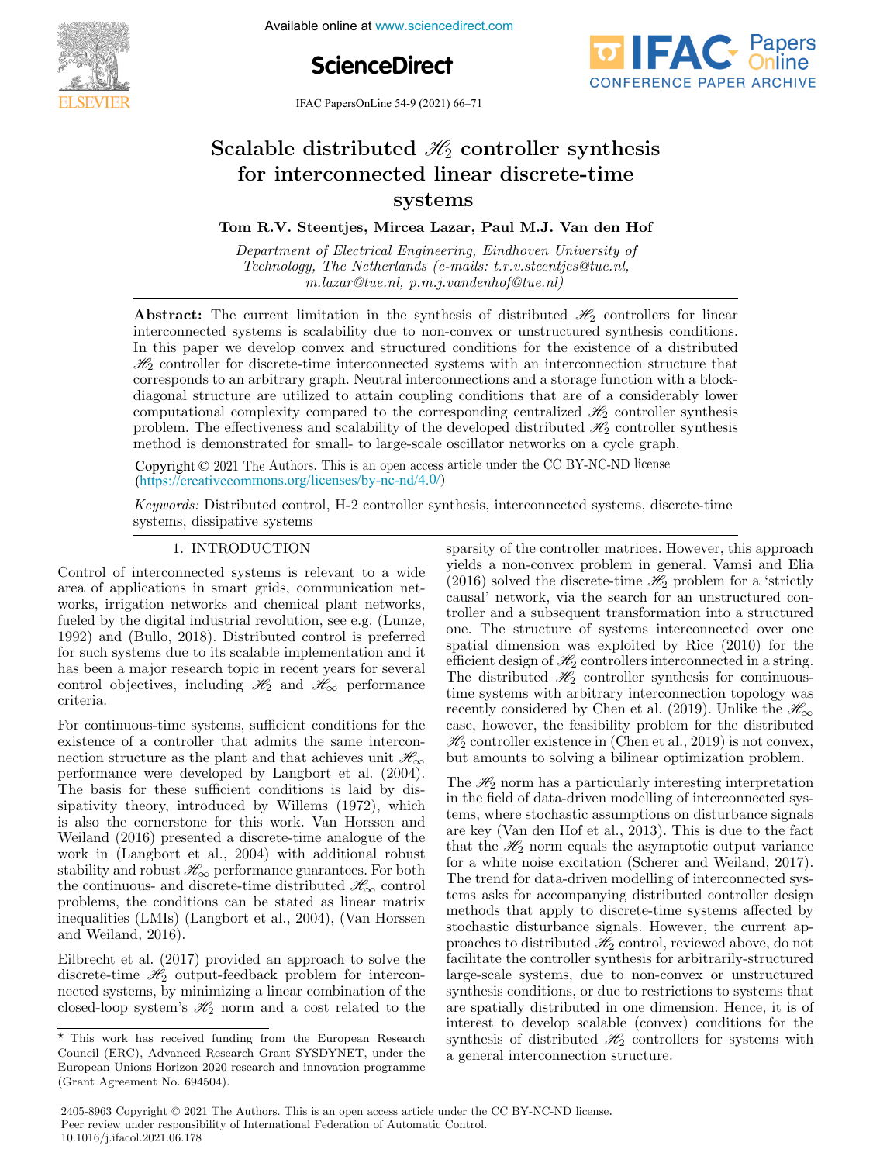

Available online at www.sciencedirect.com



IFAC PapersOnLine 54-9 (2021) 66–71



#### alable distributed  $\mathscr{H}_{2}$  controller synthe  $\rm ted$  line Scalable distributed  $\mathcal{H}_2$  controller synthesis for interconnected linear discrete-time systems systems systems systems  $Syst$   $\sum$ alable distributed  $\mathscr H_2$  controller synthe Scalable distributed  $\mathcal{H}_2$  controller synthesis for interconnected linear discrete-time for interconnected linear discrete-time

Tom R.V. Steentjes, Mircea Lazar, Paul M.J. Van den Hof Tom R.V. Steentjes, Mircea Lazar, Paul M.J. Van den Hof Tom R.V. Steentjes, Mircea Lazar, Paul M.J. Van den Hof Tom R.V. Steentjes, Mircea Lazar, Paul M.J. Van den Hof Tom R.V. Steentjes, Mircea Lazar, Paul M.J. Van den Hof  $\begin{pmatrix} 0 & 0 & 0 \end{pmatrix}$ 

Department of Electrical Engineering, Eindhoven University of Department of Electrical Engineering, Eindhoven University of Department of Electrical Engineering, Eindhoven University of *Department of Electrical Engineering, Emanoven University of*<br>Technology, The Netherlands (e-mails: t.r.v.steentjes@tue.nl, nchnology, The Netherlands (e-mails: t.r.v.steentjes@tue.nl,<br>m.lazar@tue.nl, p.m.j.vandenhof@tue.nl) m.lazar@tue.nl, p.m.j.vandenhof@tue.nl)  $m. u$ zar @tue.nl, p.m.j.vandenhoj @tue.nl)

m.<br>1970 – Maria Roma, p.m.j.vandenhof und p.m.j.vandenhof und p.m.j.vandenhof und p.m.j.vandenhof und p.m.j.vande

Abstract: The current limitation in the synthesis of distributed  $\mathcal{H}_2$  controllers for linear  $\frac{1}{2}$  controllers for inflation in the symmetries of distributed  $\mathcal{L}_2$  controllers for inflation-In this paper we develop convex and structured conditions for the existence of a distributed  $\mathcal{H}_2$  controller for discrete-time interconnected systems with an interconnection structure that corresponds to an arbitrary graph. Neutral interconnections and a storage function with a blockdiagonal structure are utilized to attain coupling conditions that are of a considerably lower computational complexity compared to the corresponding centralized  $\mathcal{H}_2$  controller synthesis problem. The effectiveness and scalability of the developed distributed  $\mathcal{H}_2$  controller synthesis method is demonstrated for small- to large-scale oscillator networks on a cycle graph. problem. The effectiveness and scalability of the developed distributed  $\mathcal{H}_2$  controller synthesis<br>method is demonstrated for small- to large-scale oscillator networks on a cycle graph. method is demonstrated for small- to large-scale oscillator networks on a cycle graph.

Copyright  $\odot$  2021 The Authors. This is an open access article under the CC BY-NC-ND license  $(\text{https://creativecommons.org/licenses/by-nc-nd/4.0/">\text{/}o})$  $\frac{\text{Copysing}}{\text{chits}}$  is demonstrated for small- to  $\frac{\text{Copysing}}{\text{chits}}$  of  $\frac{\text{Copysing}}{\text{chits}}$ .

Keywords: Distributed control, H-2 controller synthesis, interconnected systems, discrete-time *Keywords:* Distributed control, H-2 controller synthesis, interconnected systems, discrete-time systems, dissipative systems systems, dissipative systems systems, dissipative systems  $\frac{1}{\sqrt{2}}$ sparsity of the controller matrices. However, this approach

# 1. INTRODUCTION 1. INTRODUCTION 1. INTRODUCTION 1. INTRODUCTION 1. INTRODUCTION

Control of interconnected systems is relevant to a wide Control of interconnected systems is relevant to a wide Control of interconnected systems is relevant to a wide area of applications in smart grids, communication networks, irrigation networks and chemical plant networks, fueled by the digital industrial revolution, see e.g. (Lunze, 1992) and (Bullo, 2018). Distributed control is preferred for such systems due to its scalable implementation and it has been a major research topic in recent years for several control objectives, including  $\mathcal{H}_2$  and  $\mathcal{H}_{\infty}$  performance criteria. criteria. criteria. control objectives, including  $\mathcal{H}_2$  and  $\mathcal{H}_{\infty}$  performance<br>criteria. control objectives, including H2 and H∞ performance H∞ performance H∞ performance H∞ performance H∞ performance H∞ performance H∞ performance H∞ performance H∞ performance H∞ performance H∞ performance H∞ performance H∞ pe criteria. including H2 and H∞ performance H∞ performance H∞ performance H∞ performance H∞ performance H∞ performance H∞ performance H∞ performance H∞ performance H∞ performance H∞ performance H∞ performance H∞ performance criteria. control objectives, including H<sup>2</sup> and H<sup>∞</sup> performance 1. INTRODUCTION  $\frac{1}{100}$  between  $\frac{1}{100}$   $\frac{1}{100}$   $\frac{1}{100}$   $\frac{1}{100}$   $\frac{1}{100}$   $\frac{1}{100}$   $\frac{1}{100}$ 

For continuous-time systems, sufficient conditions for the existence of a controller that admits the same intercon- $\frac{1}{2}$  nection structure as the plant and that achieves unit  $\mathcal{H}_{\infty}$ performance were developed by Langbort et al.  $(204)$ .<br>The basis for these sufficient conditions is hid by dis-The basis for these sufficient conditions is laid by dissipativity theory, introduced by Willems (1972), which  $\frac{1}{2}$  and  $\frac{1}{2}$  is also the cornerstone for this work. Van Horssen and Weiland (2016) presented a discrete-time analogue of the is also the cornerstone for this work. Van Horssen and<br>Weiland (2016) presented a discrete-time analogue of the work in (Langbort et al., 2004) with additional robust stability and robust  $\mathcal{H}_{\infty}$  performance guarantees. For both the continuous- and discrete-time distributed  $\mathcal{H}_{\infty}$  control<br>problems the conditions can be stated as linear matrix problems, the conditions can be stated as linear matrix<br>inocuplities (LM<sub>Is</sub>) (Lapshort at al. 2004) (Van Horsson inequalities (LMIs) (Langbort et al., 2004), (Van Horssen and Weiland, 2016). For continuous-time systems, sufficient conditions for the and Weiland, 2016).<br>2016 - Paul Barbara, 2016 For con  $i$ ing  $\frac{1}{2010}$ ,  $\frac{1}{2000}$ 

Eilbrecht et al.  $(2017)$  provided an approach to solve the discrete-time  $\mathcal{H}_2$  output-feedback problem for interconnected systems, by minimizing a linear combination of the closed-loop system's  $\mathscr{H}_2$  norm and a cost related to the closed-loop system's  $\mathcal{H}_2$  norm and a cost related to the Eilbrecht et al.  $(201)$ closed-loop system in H2 norm and a cost related to the cost related to the cost relationship of the cost rela energy necture systems  $\mathcal{I}_{\mathcal{L}}$  in minimizing a compilation of the sparsity of the controller matrices. However, this approach is approximately matrices. However, this approach is approximately matrices. However, the controller matrices of the controller matrices. However, the controller sparsity of the controller matrices. However, this approach yields a non-convex problem in general. Vamsi and Elia yields a non-convex problem in general. Vamsi and Elia<br>(2016) solved the discrete-time  $\mathcal{H}_2$  problem for a 'strictly<br>causal' notwork, yields soarch for an unstructured concastly between the disease time see problem for a serious, troller and a subsequent transformation into a structured one. The structure of systems interconnected over one one. The structure of systems interconnected over one<br>spatial dimension was exploited by Rice (2010) for the<br>efficient design of  $\mathcal{H}$  controllers interconnected in a string efficient design of  $\mathcal{H}_2$  controllers interconnected in a string. The distributed  $\mathcal{H}_2$  controller synthesis for continuoustime systems with arbitrary interconnection topology was<br>recently considered by Chen et al. (2019). Unlike the *H* recently considered by Chen et al. (2019). Unlike the  $\mathcal{H}_{\infty}$ case, however, the feasibility problem for the distributed<br>  $\mathscr{L}_{\infty}$  as  $\mathscr{L}_{\infty}$ , however, the feasibility problem for the distributed  $\mathcal{H}_2$  controller existence in (Chen et al., 2019) is not convex, time systems with arbitrary interconnection topology was  $\frac{\partial u}{\partial x}$  controller existence in (Chen et al., 2019) is not convex, but amounts to solving a bilinear optimization problem. but amounts to solving a bilinear optimization problem.  $bc_2$  controller existence in (Chen et al., 2019) is not convex, but amounts to solving a bilinear optimization problem.

 $T$  norm  $\mathcal{U}$  norm interpretation interpretation interpretation interpretation interpretation interpretation The  $\mathcal{H}_2$  norm has a particularly interesting interpretation in the field of data-driven modelling of interconnected systems, where stochastic assumptions on disturbance signals acids, where stochastic assumptions on unstandance signals that the  $\mathcal{H}_2$  norm equals the asymptotic output variance for a white noise excitation (Scherer and Weiland, 2017). The trend for data-driven modelling of interconnected systems asks for accompanying distributed controller design methods that apply to discrete-time systems affected by stochastic disturbance signals. However, the current approaches to distributed  $\mathcal{H}_2$  control, reviewed above, do not from the controller synthesis for arbitrarily-structured facilitate the controller synthesis for arbitrarily-structured<br>large-scale systems, due to non-convex or unstructured<br>synthesis conditions or due to restrictions to systems that synthesis conditions, or due to restrictions to systems that are spatially distributed in one dimension. Hence, it is of interest to develop scalable (convex) conditions for the<br>interest to develop scalable (convex) conditions for the synthesis of distributed  $\mathcal{H}_2$  controllers for systems with a general interconnection structure. a general interconnection structure. synthesis of distributed  $\mathcal{L}_2$  controllers for systems with<br>a general interconnection structure.  $\mathbf{F}$ 

 $\star$  This work has received funding from the European Research This work has received funding from the European research European Unions Horizon 2020 research and innovation programme (Grant Agreement No. 694504). (Grant Agreement No. 694504).

<sup>2405-8963</sup> Copyright © 2021 The Authors. This is an open access article under the CC BY-NC-ND license. Peer review under responsibility of International Federation of Automatic Control. 10.1016/j.ifacol.2021.06.178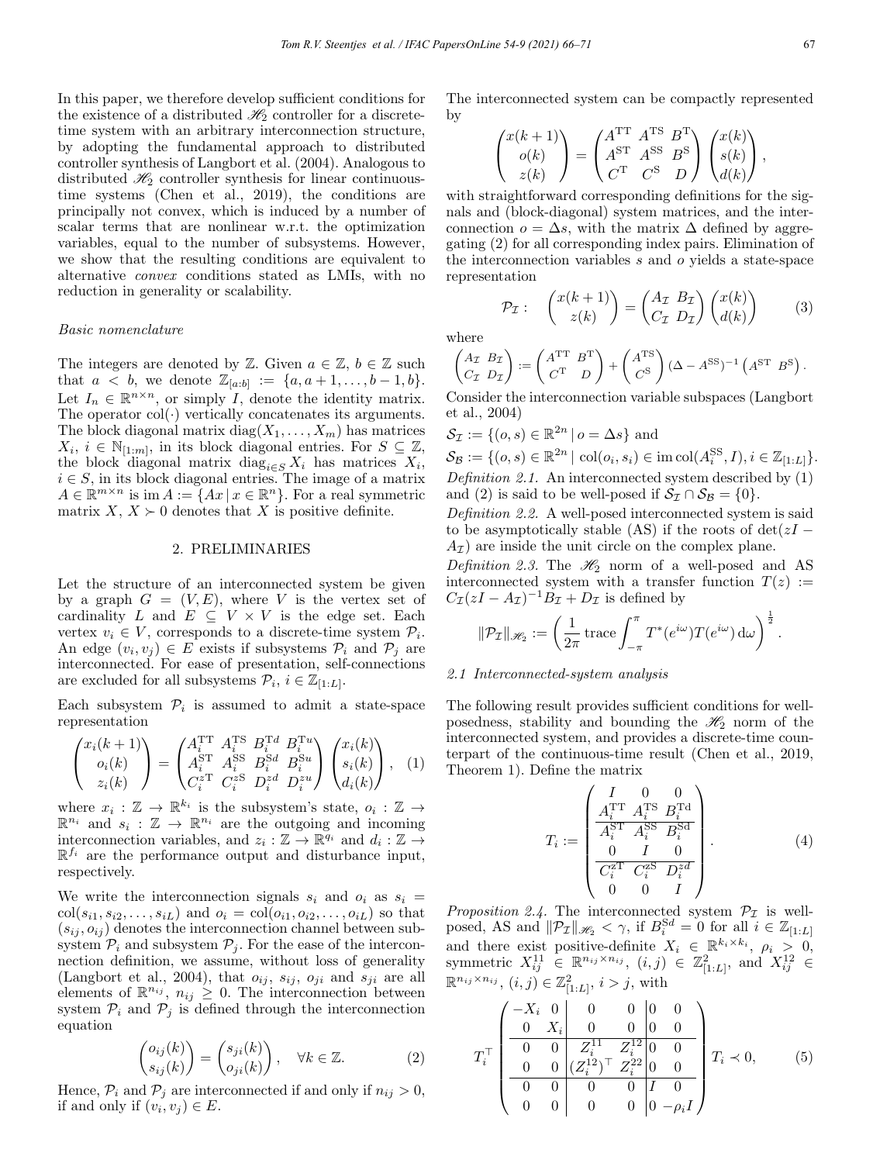In this paper, we therefore develop sufficient conditions for the existence of a distributed  $\mathcal{H}_2$  controller for a discretetime system with an arbitrary interconnection structure, by adopting the fundamental approach to distributed controller synthesis of Langbort et al. (2004). Analogous to distributed  $\mathcal{H}_2$  controller synthesis for linear continuoustime systems (Chen et al., 2019), the conditions are principally not convex, which is induced by a number of scalar terms that are nonlinear w.r.t. the optimization variables, equal to the number of subsystems. However, we show that the resulting conditions are equivalent to alternative convex conditions stated as LMIs, with no reduction in generality or scalability.

### Basic nomenclature

The integers are denoted by  $\mathbb{Z}$ . Given  $a \in \mathbb{Z}$ ,  $b \in \mathbb{Z}$  such that  $a < b$ , we denote  $\mathbb{Z}_{[a:b]} := \{a, a+1, \ldots, b-1, b\}.$ Let  $I_n \in \mathbb{R}^{n \times n}$ , or simply  $I$ , denote the identity matrix. The operator  $col(\cdot)$  vertically concatenates its arguments. The block diagonal matrix diag $(X_1, \ldots, X_m)$  has matrices  $X_i, i \in \mathbb{N}_{[1:m]},$  in its block diagonal entries. For  $S \subseteq \mathbb{Z},$ the block diagonal matrix diag<sub>i∈S</sub>  $X_i$  has matrices  $X_i$ ,  $i \in S$ , in its block diagonal entries. The image of a matrix  $A \in \mathbb{R}^{m \times n}$  is im  $A := \{Ax \mid x \in \mathbb{R}^n\}$ . For a real symmetric matrix  $X, X \succ 0$  denotes that X is positive definite.

### 2. PRELIMINARIES

Let the structure of an interconnected system be given by a graph  $G = (V, E)$ , where V is the vertex set of cardinality L and  $E \subseteq V \times V$  is the edge set. Each vertex  $v_i \in V$ , corresponds to a discrete-time system  $\mathcal{P}_i$ . An edge  $(v_i, v_j) \in E$  exists if subsystems  $\mathcal{P}_i$  and  $\mathcal{P}_j$  are interconnected. For ease of presentation, self-connections are excluded for all subsystems  $\mathcal{P}_i$ ,  $i \in \mathbb{Z}_{[1:L]}$ .

Each subsystem  $\mathcal{P}_i$  is assumed to admit a state-space representation

$$
\begin{pmatrix} x_i(k+1) \\ o_i(k) \\ z_i(k) \end{pmatrix} = \begin{pmatrix} A_i^{\text{TT}} & A_i^{\text{TS}} & B_i^{\text{Td}} & B_i^{\text{Tu}} \\ A_i^{\text{ST}} & A_i^{\text{SS}} & B_i^{\text{Sd}} & B_i^{\text{Su}} \\ C_i^{\text{ZT}} & C_i^{\text{ZS}} & D_i^{\text{Zd}} & D_i^{\text{zu}} \end{pmatrix} \begin{pmatrix} x_i(k) \\ s_i(k) \\ d_i(k) \end{pmatrix}, \quad (1)
$$

where  $x_i : \mathbb{Z} \to \mathbb{R}^{k_i}$  is the subsystem's state,  $o_i : \mathbb{Z} \to$  $\mathbb{R}^{n_i}$  and  $s_i : \mathbb{Z} \to \mathbb{R}^{n_i}$  are the outgoing and incoming interconnection variables, and  $z_i : \mathbb{Z} \to \mathbb{R}^{q_i}$  and  $d_i : \mathbb{Z} \to$  $\mathbb{R}^{f_i}$  are the performance output and disturbance input, respectively.

We write the interconnection signals  $s_i$  and  $o_i$  as  $s_i$  =  $col(s_{i1}, s_{i2},...,s_{iL})$  and  $o_i = col(o_{i1}, o_{i2},...,o_{iL})$  so that  $(s_{ij}, o_{ij})$  denotes the interconnection channel between subsystem  $\mathcal{P}_i$  and subsystem  $\mathcal{P}_j$ . For the ease of the interconnection definition, we assume, without loss of generality (Langbort et al., 2004), that  $o_{ij}$ ,  $s_{ij}$ ,  $o_{ji}$  and  $s_{ji}$  are all elements of  $\mathbb{R}^{n_{ij}}$ ,  $n_{ij} \geq 0$ . The interconnection between system  $P_i$  and  $P_j$  is defined through the interconnection equation

$$
\begin{pmatrix} o_{ij}(k) \\ s_{ij}(k) \end{pmatrix} = \begin{pmatrix} s_{ji}(k) \\ o_{ji}(k) \end{pmatrix}, \quad \forall k \in \mathbb{Z}.
$$
 (2)

Hence,  $\mathcal{P}_i$  and  $\mathcal{P}_j$  are interconnected if and only if  $n_{ij} > 0$ , if and only if  $(v_i, v_j) \in E$ .

The interconnected system can be compactly represented by

$$
\begin{pmatrix} x(k+1) \\ o(k) \\ z(k) \end{pmatrix} = \begin{pmatrix} A^{\text{TT}} & A^{\text{TS}} & B^{\text{T}} \\ A^{\text{ST}} & A^{\text{SS}} & B^{\text{S}} \\ C^{\text{T}} & C^{\text{S}} & D \end{pmatrix} \begin{pmatrix} x(k) \\ s(k) \\ d(k) \end{pmatrix},
$$

with straightforward corresponding definitions for the signals and (block-diagonal) system matrices, and the interconnection  $o = \Delta s$ , with the matrix  $\Delta$  defined by aggregating (2) for all corresponding index pairs. Elimination of the interconnection variables s and o yields a state-space representation

$$
\mathcal{P}_{\mathcal{I}}: \quad \begin{pmatrix} x(k+1) \\ z(k) \end{pmatrix} = \begin{pmatrix} A_{\mathcal{I}} & B_{\mathcal{I}} \\ C_{\mathcal{I}} & D_{\mathcal{I}} \end{pmatrix} \begin{pmatrix} x(k) \\ d(k) \end{pmatrix} \tag{3}
$$

where

$$
\begin{pmatrix} A_{\mathcal{I}} & B_{\mathcal{I}} \\ C_{\mathcal{I}} & D_{\mathcal{I}} \end{pmatrix} := \begin{pmatrix} A^{\text{TT}} & B^{\text{T}} \\ C^{\text{T}} & D \end{pmatrix} + \begin{pmatrix} A^{\text{TS}} \\ C^{\text{S}} \end{pmatrix} (\Delta - A^{\text{SS}})^{-1} \begin{pmatrix} A^{\text{ST}} & B^{\text{S}} \end{pmatrix}.
$$

Consider the interconnection variable subspaces (Langbort et al., 2004)

$$
\mathcal{S}_{\mathcal{I}} := \{ (o, s) \in \mathbb{R}^{2n} \mid o = \Delta s \}
$$
 and

 $\mathcal{S}_{\mathcal{B}} := \{ (o, s) \in \mathbb{R}^{2n} \mid \text{col}(o_i, s_i) \in \text{im } \text{col}(A_i^{\text{SS}}, I), i \in \mathbb{Z}_{[1:L]}\}.$ Definition 2.1. An interconnected system described by (1) and (2) is said to be well-posed if  $S_{\mathcal{I}} \cap S_{\mathcal{B}} = \{0\}.$ 

Definition 2.2. A well-posed interconnected system is said to be asymptotically stable (AS) if the roots of  $det(zI A_{\mathcal{I}}$  are inside the unit circle on the complex plane.

Definition 2.3. The  $\mathcal{H}_2$  norm of a well-posed and AS interconnected system with a transfer function  $T(z) :=$  $C_{\mathcal{I}}(zI - A_{\mathcal{I}})^{-1}B_{\mathcal{I}} + D_{\mathcal{I}}$  is defined by

$$
\|\mathcal{P}_{\mathcal{I}}\|_{\mathscr{H}_2} := \left(\frac{1}{2\pi} \operatorname{trace} \int_{-\pi}^{\pi} T^*(e^{i\omega}) T(e^{i\omega}) d\omega \right)^{\frac{1}{2}}.
$$

### 2.1 Interconnected-system analysis

The following result provides sufficient conditions for wellposedness, stability and bounding the  $\mathcal{H}_2$  norm of the interconnected system, and provides a discrete-time counterpart of the continuous-time result (Chen et al., 2019, Theorem 1). Define the matrix

$$
T_i := \begin{pmatrix} I & 0 & 0 \\ A_i^{\text{TT}} & A_i^{\text{TS}} & B_i^{\text{Td}} \\ \overline{A_i^{\text{ST}} & A_i^{\text{SS}} & B_i^{\text{Sd}} \\ 0 & I & 0 \\ \overline{C_i^{\text{2T}} & C_i^{\text{2S}} & D_i^{\text{2d}} \\ 0 & 0 & I \end{pmatrix} . \tag{4}
$$

*Proposition 2.4.* The interconnected system  $P<sub>T</sub>$  is wellposed, AS and  $||\mathcal{P}_{\mathcal{I}}||_{\mathscr{H}_2} < \gamma$ , if  $B_i^{Sd} = 0$  for all  $i \in \mathbb{Z}_{[1:L]}$ and there exist positive-definite  $X_i \in \mathbb{R}^{k_i \times k_i}$ ,  $\rho_i > 0$ ,<br>symmetric  $X_{ij}^{11} \in \mathbb{R}^{n_{ij} \times n_{ij}}$ ,  $(i, j) \in \mathbb{Z}_{[1:L]}^2$ , and  $X_{ij}^{12} \in$  $\mathbb{R}^{n_{ij}\times n_{ij}}, (i,j) \in \mathbb{Z}_{[1:L]}^2, i > j$ , with

$$
T_i^{\top} \begin{pmatrix} -X_i & 0 & 0 & 0 & 0 & 0 \\ 0 & X_i & 0 & 0 & 0 & 0 \\ 0 & 0 & Z_i^{11} & Z_i^{12} & 0 & 0 \\ 0 & 0 & (Z_i^{12})^{\top} & Z_i^{22} & 0 & 0 \\ 0 & 0 & 0 & 0 & 0 & 0 \\ 0 & 0 & 0 & 0 & 0 & -\rho_i I \end{pmatrix} T_i \prec 0, \qquad (5)
$$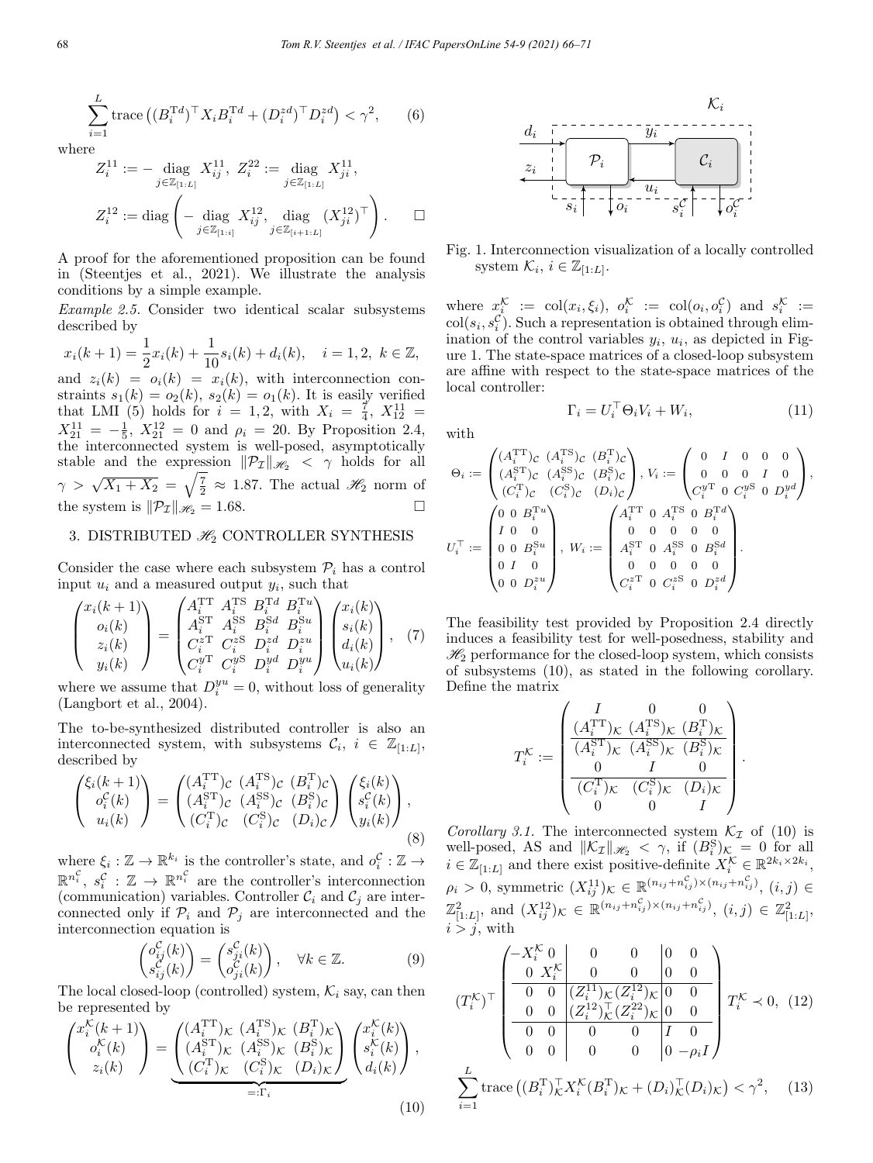$$
\sum_{i=1}^{L} \text{trace}\left( (B_i^{\text{T}d})^{\top} X_i B_i^{\text{T}d} + (D_i^{zd})^{\top} D_i^{zd} \right) < \gamma^2, \qquad (6)
$$

where

$$
Z_i^{11} := - \operatorname{diag}_{j \in \mathbb{Z}_{[1:L]}} X_{ij}^{11}, \ Z_i^{22} := \operatorname{diag}_{j \in \mathbb{Z}_{[1:L]}} X_{ji}^{11},
$$
  

$$
Z_i^{12} := \operatorname{diag} \left( - \operatorname{diag}_{j \in \mathbb{Z}_{[1:i]}} X_{ij}^{12}, \operatorname{diag} (X_{ji}^{12})^\top \right). \qquad \Box
$$

A proof for the aforementioned proposition can be found in (Steentjes et al., 2021). We illustrate the analysis conditions by a simple example.

Example 2.5. Consider two identical scalar subsystems described by

 $x_i(k+1) = \frac{1}{2}x_i(k) + \frac{1}{10}s_i(k) + d_i(k), \quad i = 1, 2, \ k \in \mathbb{Z},$ 

and  $z_i(k) = o_i(k) = x_i(k)$ , with interconnection constraints  $s_1(k) = o_2(k)$ ,  $s_2(k) = o_1(k)$ . It is easily verified that LMI (5) holds for  $i = 1, 2$ , with  $X_i = \frac{7}{4}$ ,  $X_{12}^{11} =$  $X_{21}^{11} = -\frac{1}{5}$ ,  $X_{21}^{12} = 0$  and  $\rho_i = 20$ . By Proposition 2.4, the interconnected system is well-posed, asymptotically stable and the expression  $\|\mathcal{P}_{\mathcal{I}}\|_{\mathscr{H}_{2}} < \gamma$  holds for all  $\gamma > \sqrt{X_1 + X_2} = \sqrt{\frac{7}{2}} \approx 1.87$ . The actual  $\mathscr{H}_2$  norm of the system is  $\|\mathcal{P}_{\mathcal{I}}\|_{\mathscr{H}_2} = 1.68.$ 

## 3. DISTRIBUTED  $\mathcal{H}_2$  CONTROLLER SYNTHESIS

Consider the case where each subsystem  $P_i$  has a control input  $u_i$  and a measured output  $y_i$ , such that

$$
\begin{pmatrix} x_i(k+1) \\ o_i(k) \\ z_i(k) \\ y_i(k) \end{pmatrix} = \begin{pmatrix} A_i^{\text{TT}} & A_i^{\text{TS}} & B_i^{\text{Td}} & B_i^{\text{Tu}} \\ A_i^{\text{ST}} & A_i^{\text{SS}} & B_i^{\text{Sd}} & B_i^{\text{Su}} \\ C_i^{z\text{T}} & C_i^{z\text{S}} & D_i^{z\text{d}} & D_i^{zu} \\ C_i^{y\text{T}} & C_i^{y\text{S}} & D_i^{y\text{d}} & D_i^{yu} \end{pmatrix} \begin{pmatrix} x_i(k) \\ s_i(k) \\ d_i(k) \\ u_i(k) \end{pmatrix}, \quad (7)
$$

where we assume that  $D_i^{yu} = 0$ , without loss of generality (Langbort et al., 2004).

The to-be-synthesized distributed controller is also an interconnected system, with subsystems  $\mathcal{C}_i$ ,  $i \in \mathbb{Z}_{[1:L]}$ , described by

$$
\begin{pmatrix} \xi_i(k+1) \\ o_i^C(k) \\ u_i(k) \end{pmatrix} = \begin{pmatrix} (A_i^{\text{TT}})c & (A_i^{\text{TS}})c & (B_i^{\text{T}})c \\ (A_i^{\text{ST}})c & (A_i^{\text{SS}})c & (B_i^{\text{S}})c \\ (C_i^{\text{T}})c & (C_i^{\text{S}})c & (D_i)c \end{pmatrix} \begin{pmatrix} \xi_i(k) \\ s_i^C(k) \\ y_i(k) \end{pmatrix},
$$
\n(8)

where  $\xi_i : \mathbb{Z} \to \mathbb{R}^{k_i}$  is the controller's state, and  $o_i^{\mathcal{C}} : \mathbb{Z} \to$  $\mathbb{R}^{n_i^c}$ ,  $s_i^{\mathcal{C}} : \mathbb{Z} \to \mathbb{R}^{n_i^c}$  are the controller's interconnection (communication) variables. Controller  $\mathcal{C}_i$  and  $\mathcal{C}_j$  are interconnected only if  $\mathcal{P}_i$  and  $\mathcal{P}_j$  are interconnected and the interconnection equation is

$$
\begin{pmatrix} o_{ij}^C(k) \\ s_{ij}^C(k) \end{pmatrix} = \begin{pmatrix} s_{ji}^C(k) \\ o_{ji}^C(k) \end{pmatrix}, \quad \forall k \in \mathbb{Z}.
$$
 (9)

The local closed-loop (controlled) system,  $\mathcal{K}_i$  say, can then be represented by

$$
\begin{pmatrix} x_i^{\mathcal{K}}(k+1) \\ o_i^{\mathcal{K}}(k) \\ z_i(k) \end{pmatrix} = \underbrace{\begin{pmatrix} (A_i^{\text{TT}})_{\mathcal{K}} & (A_i^{\text{TS}})_{\mathcal{K}} & (B_i^{\text{T}})_{\mathcal{K}} \\ (A_i^{\text{SS}})_{\mathcal{K}} & (A_i^{\text{SS}})_{\mathcal{K}} & (B_i^{\text{S}})_{\mathcal{K}} \\ (C_i^{\text{T}})_{\mathcal{K}} & (C_i^{\text{S}})_{\mathcal{K}} & (D_i)_{\mathcal{K}} \end{pmatrix}}_{=: \Gamma_i} \begin{pmatrix} x_i^{\mathcal{K}}(k) \\ s_i^{\mathcal{K}}(k) \\ d_i(k) \end{pmatrix},
$$
\n(10)



Fig. 1. Interconnection visualization of a locally controlled system  $\mathcal{K}_i, i \in \mathbb{Z}_{[1:L]}$ .

where  $x_i^{\mathcal{K}} := col(x_i, \xi_i), o_i^{\mathcal{K}} := col(o_i, o_i^{\mathcal{C}})$  and  $s_i^{\mathcal{K}} :=$  $\text{col}(s_i, s_i^{\mathcal{C}})$ . Such a representation is obtained through elimination of the control variables  $y_i$ ,  $u_i$ , as depicted in Figure 1. The state-space matrices of a closed-loop subsystem are affine with respect to the state-space matrices of the local controller:

$$
\Gamma_i = U_i^{\top} \Theta_i V_i + W_i, \qquad (11)
$$

with

$$
\Theta_i := \begin{pmatrix} (A_i^{\rm TT})_C & (A_i^{\rm TS})_C & (B_i^{\rm T})_C \\ (A_i^{\rm ST})_C & (A_i^{\rm SS})_C & (B_i^{\rm S})_C \\ (C_i^{\rm T})_C & (C_i^{\rm S})_C & (D_i)_C \end{pmatrix}, \, V_i := \begin{pmatrix} 0 & I & 0 & 0 & 0 \\ 0 & 0 & 0 & I & 0 \\ C_i^{y\rm T} & 0 & C_i^{y\rm S} & 0 & D_i^{yd} \\ C_i^{y\rm T} & 0 & C_i^{y\rm S} & 0 & D_i^{yd} \\ I & 0 & 0 & I & 0 \\ 0 & 0 & B_i^{\rm Su} & 0 & 0 & 0 \\ 0 & I & 0 & 0 & 0 & 0 \\ 0 & 0 & 0 & 0 & 0 & 0 \\ 0 & 0 & 0 & 0 & 0 & 0 \\ 0 & 0 & 0 & 0 & 0 & 0 \\ 0 & 0 & 0 & 0 & 0 & 0 \\ 0 & 0 & 0 & 0 & 0 & 0 \\ 0 & 0 & 0 & 0 & 0 & 0 \\ C_i^{z\rm T} & 0 & C_i^{z\rm S} & 0 & D_i^{zd} \end{pmatrix}.
$$

The feasibility test provided by Proposition 2.4 directly induces a feasibility test for well-posedness, stability and  $\mathcal{H}_2$  performance for the closed-loop system, which consists of subsystems (10), as stated in the following corollary. Define the matrix

$$
T_i^{\mathcal{K}}:=\begin{pmatrix} I&0&0\\ (A_i^{\mathrm{TT}})_{\mathcal{K}}& (A_i^{\mathrm{TS}})_{\mathcal{K}}& (B_i^{\mathrm{T}})_{\mathcal{K}}\\ (A_i^{\mathrm{ST}})_{\mathcal{K}}& (A_i^{\mathrm{SS}})_{\mathcal{K}}& (B_i^{\mathrm{S}})_{\mathcal{K}}\\ 0&I&0\\ \hline (C_i^{\mathrm{T}})_{\mathcal{K}}& (C_i^{\mathrm{S}})_{\mathcal{K}}& (D_i)_{\mathcal{K}}\\ 0&0&I \end{pmatrix}
$$

.

Corollary 3.1. The interconnected system  $\mathcal{K}_{\mathcal{I}}$  of (10) is well-posed, AS and  $\|\mathcal{K}_{\mathcal{I}}\|_{\mathscr{H}_{2}} < \gamma$ , if  $(B_i^{\mathcal{S}})_{\mathcal{K}} = 0$  for all  $i \in \mathbb{Z}_{[1:L]}$  and there exist positive-definite  $X_i^{\mathcal{K}} \in \mathbb{R}^{2k_i \times 2k_i}$ ,  $\rho_i > 0$ , symmetric  $(X_{ij}^{11})_{\mathcal{K}} \in \mathbb{R}^{(n_{ij}+n_{ij}^{\mathcal{L}})\times(n_{ij}+n_{ij}^{\mathcal{L}})}, (i,j) \in$  $\mathbb{Z}_{[1:L]}^2$ , and  $(X_{ij}^{12})_{\mathcal{K}} \in \mathbb{R}^{(n_{ij}+n_{ij}^{\mathcal{C}})\times(n_{ij}+n_{ij}^{\mathcal{C}})}, (i,j) \in \mathbb{Z}_{[1:L]}^2$  $i>j$ , with

$$
(T_i^{\mathcal{K}})^{\top} \begin{pmatrix} -X_i^{\mathcal{K}} & 0 & 0 & 0 & 0 \\ 0 & X_i^{\mathcal{K}} & 0 & 0 & 0 \\ 0 & 0 & (Z_i^{11})_{\mathcal{K}} (Z_i^{12})_{\mathcal{K}} & 0 & 0 \\ 0 & 0 & (Z_i^{12})_{\mathcal{K}}^{\top} (Z_i^{22})_{\mathcal{K}} & 0 & 0 \\ 0 & 0 & 0 & 0 & I & 0 \\ 0 & 0 & 0 & 0 & 0 & -\rho_i I \end{pmatrix} T_i^{\mathcal{K}} \prec 0, (12)
$$

$$
\sum_{i=1}^{L} \text{trace} ((B_i^{\mathcal{T}})_{\mathcal{K}}^{\top} X_i^{\mathcal{K}} (B_i^{\mathcal{T}})_{\mathcal{K}} + (D_i)_{\mathcal{K}}^{\top} (D_i)_{\mathcal{K}}) < \gamma^2, (13)
$$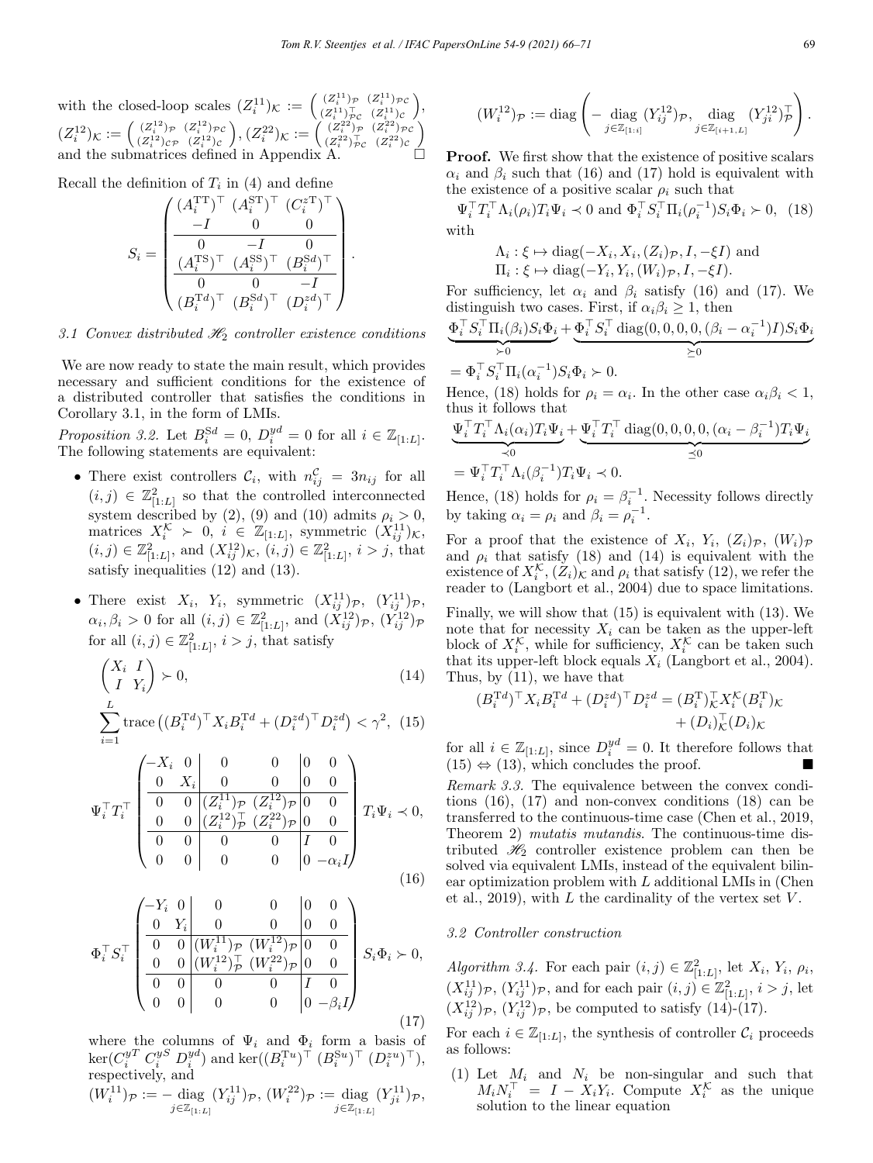with the closed-loop scales  $(Z_i^{11})_{\mathcal{K}} := \begin{pmatrix} (Z_i^{11})_{\mathcal{P}} & (Z_i^{11})_{\mathcal{P}C} \\ (Z_i^{11})_{\mathcal{P}C}^{\mathcal{P}} & (Z_i^{11})_{\mathcal{C}} \\ (Z_i^{11})_{\mathcal{P}C} & (Z_i^{12})_{\mathcal{C}} \end{pmatrix}$  ,  $(Z_i^{12})_{\mathcal{K}} := \begin{pmatrix} (Z_i^{12})_{\mathcal{P}} & (Z_i^{12})_{\mathcal{P}} \\ (Z_i^{12})_{\mathcal{C}}_{\mathcal{P}} & (Z_i^{12})_{\mathcal{C}} \end{pmatrix}$  $\bigg), (Z_i^{22})_{\mathcal{K}} := \left( \begin{smallmatrix} (Z_i^{22})_{\mathcal{P}} & (Z_i^{22})_{\mathcal{PC}} \ (Z_i^{22})_{\mathcal{PC}} & (Z_i^{22})_{\mathcal{C}} \ (Z_i^{22})_{\mathcal{C}} \end{smallmatrix} \right)$  $\setminus$ and the submatrices defined in Appendix A.  $\Box$ 

Recall the definition of  $T_i$  in (4) and define

$$
S_i = \begin{pmatrix} (A_i^{\text{TT}})^\top & (A_i^{\text{ST}})^\top & (C_i^{\text{T}})^\top \\ \frac{-I}{0} & 0 & 0 \\ \frac{(A_i^{\text{TS}})^\top & (A_i^{\text{SS}})^\top & (B_i^{\text{S}d})^\top}{0} \\ \frac{(B_i^{\text{TT}d})^\top & (B_i^{\text{S}d})^\top & (D_i^{\text{Z}d})^\top}{(B_i^{\text{T}d})^\top & (D_i^{\text{Z}d})^\top} \end{pmatrix}.
$$

3.1 Convex distributed  $\mathcal{H}_2$  controller existence conditions

We are now ready to state the main result, which provides necessary and sufficient conditions for the existence of a distributed controller that satisfies the conditions in Corollary 3.1, in the form of LMIs.

Proposition 3.2. Let  $B_i^{Sd} = 0$ ,  $D_i^{yd} = 0$  for all  $i \in \mathbb{Z}_{[1:L]}$ .<br>The following statements are equivalent:

- There exist controllers  $\mathcal{C}_i$ , with  $n_{ij}^{\mathcal{C}} = 3n_{ij}$  for all  $(i, j) \in \mathbb{Z}_{[1:L]}^2$  so that the controlled interconnected system described by (2), (9) and (10) admits  $\rho_i > 0$ , matrices  $X_i^{\mathcal{K}} \succ 0, i \in \mathbb{Z}_{[1:L]},$  symmetric  $(X_{ij}^{11})_{\mathcal{K}},$  $(i, j) \in \mathbb{Z}_{[1:L]}^2$ , and  $(X_{ij}^{12})_{\mathcal{K}}$ ,  $(i, j) \in \mathbb{Z}_{[1:L]}^2$ ,  $i > j$ , that satisfy inequalities (12) and (13).
- There exist  $X_i$ ,  $Y_i$ , symmetric  $(X_{ij}^{11})_{\mathcal{P}}$ ,  $(Y_{ij}^{11})_{\mathcal{P}}$ ,  $\alpha_i, \beta_i > 0$  for all  $(i, j) \in \mathbb{Z}_{[1:L]}^2$ , and  $(X_{ij}^{12})_{\mathcal{P}}, (Y_{ij}^{12})_{\mathcal{P}}$ for all  $(i, j) \in \mathbb{Z}_{[1:L]}^2$ ,  $i > j$ , that satisfy

$$
\begin{pmatrix} X_i & I \\ I & Y_i \end{pmatrix} \succ 0,
$$
\n(14)

$$
\sum_{i=1}^{L} \text{trace}\left( (B_i^{\text{T}d})^{\top} X_i B_i^{\text{T}d} + (D_i^{zd})^{\top} D_i^{zd} \right) < \gamma^2, \tag{15}
$$

$$
\Psi_i^{\top} T_i^{\top} \begin{pmatrix}\n-X_i & 0 & 0 & 0 & 0 & 0 \\
0 & X_i & 0 & 0 & 0 & 0 \\
\hline\n0 & 0 & (Z_i^{11})_{\mathcal{P}} (Z_i^{12})_{\mathcal{P}} & 0 & 0 \\
0 & 0 & (Z_i^{12})_{\mathcal{P}}^{\top} (Z_i^{22})_{\mathcal{P}} & 0 & 0 \\
\hline\n0 & 0 & 0 & 0 & I & 0 \\
0 & 0 & 0 & 0 & 0 & -\alpha_i I\n\end{pmatrix} T_i \Psi_i \prec 0,
$$
\n(16)

$$
\Phi_i^{\top} S_i^{\top} \begin{pmatrix}\n-Y_i & 0 & 0 & 0 & 0 & 0 \\
0 & Y_i & 0 & 0 & 0 & 0 \\
\hline\n0 & 0 & (W_i^{11})_{\mathcal{P}} (W_i^{12})_{\mathcal{P}} (0 & 0) & 0 \\
0 & 0 & (W_i^{12})_{\mathcal{P}}^{\top} (W_i^{22})_{\mathcal{P}} (0 & 0) & 0 \\
0 & 0 & 0 & 0 & I & 0 \\
0 & 0 & 0 & 0 & 0 & -\beta_i I\n\end{pmatrix} S_i \Phi_i \succ 0,
$$
\n(17)

where the columns of  $\Psi_i$  and  $\Phi_i$  form a basis of  $\ker(C_i^{yT} C_i^{yS} D_i^{yd})$  and  $\ker((B_i^{Tu})^{\top} (B_i^{Su})^{\top} (D_i^{zu})^{\top}),$ respectively, and

$$
(W_i^{11})_{\mathcal{P}}:=-\underset{j\in\mathbb{Z}_{[1:L]}}{\text{diag }}(Y_{ij}^{11})_{\mathcal{P}},\ (W_i^{22})_{\mathcal{P}}:=\underset{j\in\mathbb{Z}_{[1:L]}}{\text{diag }}(Y_{ji}^{11})_{\mathcal{P}},
$$

$$
(W_i^{12})_{\mathcal{P}} := \text{diag}\left(-\underset{j\in\mathbb{Z}_{[1:i]}}{\text{diag }} (Y_{ij}^{12})_{\mathcal{P}}, \underset{j\in\mathbb{Z}_{[i+1,L]}}{\text{diag }} (Y_{ji}^{12})_{\mathcal{P}}^{\top}\right).
$$

Proof. We first show that the existence of positive scalars  $\alpha_i$  and  $\beta_i$  such that (16) and (17) hold is equivalent with the existence of a positive scalar  $\rho_i$  such that

 $\Psi_i^\top T_i^\top \Lambda_i(\rho_i) T_i \Psi_i \prec 0$  and  $\Phi_i^\top S_i^\top \Pi_i(\rho_i^{-1}) S_i \Phi_i \succ 0$ , (18) with

$$
\Lambda_i: \xi \mapsto \text{diag}(-X_i, X_i, (Z_i)_{\mathcal{P}}, I, -\xi I) \text{ and}
$$
  
\n
$$
\Pi_i: \xi \mapsto \text{diag}(-Y_i, Y_i, (W_i)_{\mathcal{P}}, I, -\xi I).
$$

For sufficiency, let  $\alpha_i$  and  $\beta_i$  satisfy (16) and (17). We distinguish two cases. First, if  $\alpha_i \beta_i \geq 1$ , then

$$
\frac{\Phi_i^{\top} S_i^{\top} \Pi_i(\beta_i) S_i \Phi_i}{\sum_{i=0}^{n} \phi_i^{\top} S_i^{\top} \operatorname{diag}(0, 0, 0, 0, (\beta_i - \alpha_i^{-1}) I) S_i \Phi_i}}{\sum_{i=0}^{n} \phi_i^{\top} S_i^{\top} \Pi_i(\alpha_i^{-1}) S_i \Phi_i} > 0.
$$

Hence, (18) holds for  $\rho_i = \alpha_i$ . In the other case  $\alpha_i \beta_i < 1$ , thus it follows that

$$
\underbrace{\Psi_i^\top T_i^\top \Lambda_i(\alpha_i) T_i \Psi_i}_{\prec 0} + \underbrace{\Psi_i^\top T_i^\top \operatorname{diag}(0,0,0,0,(\alpha_i - \beta_i^{-1}) T_i \Psi_i}_{\preceq 0}
$$
\n
$$
= \Psi_i^\top T_i^\top \Lambda_i(\beta_i^{-1}) T_i \Psi_i \prec 0.
$$

Hence, (18) holds for  $\rho_i = \beta_i^{-1}$ . Necessity follows directly by taking  $\alpha_i = \rho_i$  and  $\beta_i = \rho_i^{-1}$ .

For a proof that the existence of  $X_i$ ,  $Y_i$ ,  $(Z_i)_{\mathcal{P}}$ ,  $(W_i)_{\mathcal{P}}$ and  $\rho_i$  that satisfy (18) and (14) is equivalent with the existence of  $X_i^{\mathcal{K}}$ ,  $(Z_i)_{\mathcal{K}}$  and  $\rho_i$  that satisfy (12), we refer the reader to (Langbort et al., 2004) due to space limitations.

Finally, we will show that (15) is equivalent with (13). We note that for necessity  $X_i$  can be taken as the upper-left block of  $X_i^{\mathcal{K}}$ , while for sufficiency,  $X_i^{\mathcal{K}}$  can be taken such that its upper-left block equals  $X_i$  (Langbort et al., 2004). Thus, by (11), we have that

$$
(B_i^{\mathrm{T}d})^{\top} X_i B_i^{\mathrm{T}d} + (D_i^{zd})^{\top} D_i^{zd} = (B_i^{\mathrm{T}})_{\mathcal{K}}^{\top} X_i^{\mathcal{K}} (B_i^{\mathrm{T}})_{\mathcal{K}} + (D_i)_{\mathcal{K}}^{\top} (D_i)_{\mathcal{K}}
$$

for all  $i \in \mathbb{Z}_{[1:L]}$ , since  $D_i^{yd} = 0$ . It therefore follows that  $(15) \Leftrightarrow (13)$ , which concludes the proof.

Remark 3.3. The equivalence between the convex conditions (16), (17) and non-convex conditions (18) can be transferred to the continuous-time case (Chen et al., 2019, Theorem 2) mutatis mutandis. The continuous-time distributed  $\mathcal{H}_2$  controller existence problem can then be solved via equivalent LMIs, instead of the equivalent bilinear optimization problem with  $L$  additional LMIs in (Chen et al., 2019), with  $L$  the cardinality of the vertex set  $V$ .

#### 3.2 Controller construction

Algorithm 3.4. For each pair  $(i, j) \in \mathbb{Z}_{[1:L]}^2$ , let  $X_i, Y_i, \rho_i$ ,  $(X_{ij}^{11})_{\mathcal{P}}, (Y_{ij}^{11})_{\mathcal{P}},$  and for each pair  $(i, j) \in \mathbb{Z}_{[1:L]}^2, i > j$ , let  $(X_{ij}^{12})_{\mathcal{P}}, (Y_{ij}^{12})_{\mathcal{P}},$  be computed to satisfy (14)-(17).

For each  $i \in \mathbb{Z}_{[1:L]}$ , the synthesis of controller  $\mathcal{C}_i$  proceeds as follows:

(1) Let  $M_i$  and  $N_i$  be non-singular and such that  $M_i N_i^{\dagger} = I - X_i Y_i$ . Compute  $X_i^{\mathcal{K}}$  as the unique solution to the linear equation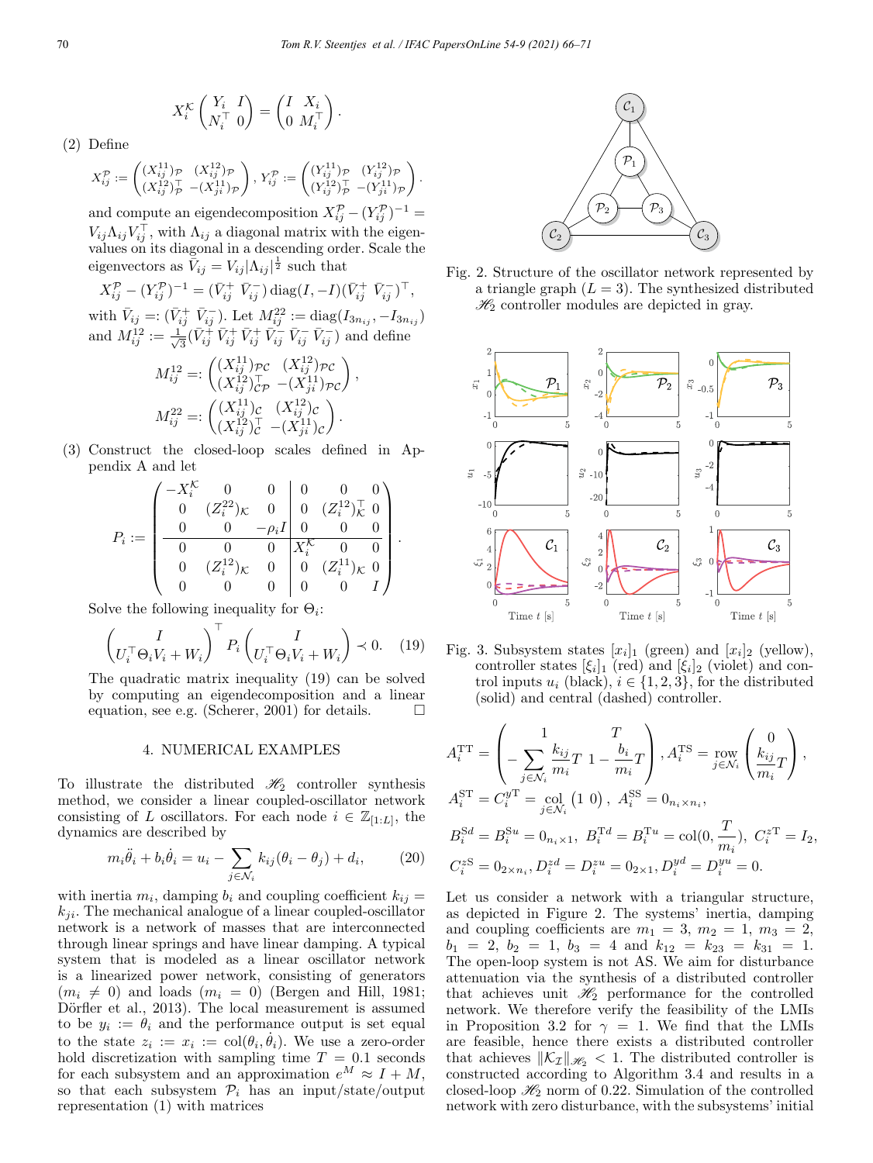$$
X_i^{\mathcal{K}}\begin{pmatrix} Y_i & I \\ N_i^\top & 0 \end{pmatrix} = \begin{pmatrix} I & X_i \\ 0 & M_i^\top \end{pmatrix}.
$$

(2) Define

$$
X_{ij}^{\mathcal{P}} := \begin{pmatrix} (X_{ij}^{11})_{\mathcal{P}} & (X_{ij}^{12})_{\mathcal{P}} \\ (X_{ij}^{11})_{\mathcal{P}}^{\top} & -(X_{ji}^{11})_{\mathcal{P}} \end{pmatrix}, Y_{ij}^{\mathcal{P}} := \begin{pmatrix} (Y_{ij}^{11})_{\mathcal{P}} & (Y_{ij}^{12})_{\mathcal{P}} \\ (Y_{ij}^{11})_{\mathcal{P}}^{\top} & -(Y_{ji}^{11})_{\mathcal{P}} \end{pmatrix}.
$$

and compute an eigendecomposition  $X_{ij}^{\mathcal{P}} - (Y_{ij}^{\mathcal{P}})^{-1} =$  $V_{ij}\Lambda_{ij}V_{ij}^{\dagger}$ , with  $\Lambda_{ij}$  a diagonal matrix with the eigenvalues on its diagonal in a descending order. Scale the eigenvectors as  $\bar{V}_{ij} = V_{ij} |\Lambda_{ij}|^{\frac{1}{2}}$  such that

$$
X_{ij}^{\mathcal{P}} - (Y_{ij}^{\mathcal{P}})^{-1} = (\bar{V}_{ij}^{+} \ \bar{V}_{ij}^{-}) \operatorname{diag}(I, -I)(\bar{V}_{ij}^{+} \ \bar{V}_{ij}^{-})^{\top},
$$
  
with  $\bar{V}_{ij} =: (\bar{V}_{ij}^{+} \ \bar{V}_{ij}^{-})$ . Let  $M_{ij}^{22} := \operatorname{diag}(I_{3n_{ij}}, -I_{3n_{ij}})$ 

and  $M^{12}_{ij} := \frac{1}{\sqrt{3}} (\bar{V}_{ij}^{\dagger} \bar{V}_{ij}^{\dagger} \bar{V}_{ij}^{\dagger} \bar{V}_{ij}^{\dagger} \bar{V}_{ij}^{\dagger} \bar{V}_{ij}^{\dagger})$  and define

$$
M_{ij}^{12} =: \begin{pmatrix} (X_{ij}^{11})_{\mathcal{PC}} & (X_{ij}^{12})_{\mathcal{PC}} \\ (X_{ij}^{12})_{\mathcal{CP}}^{\top} & -(X_{ji}^{11})_{\mathcal{PC}} \end{pmatrix},
$$
  

$$
M_{ij}^{22} =: \begin{pmatrix} (X_{ij}^{11})_{\mathcal{C}} & (X_{ij}^{12})_{\mathcal{C}} \\ (X_{ij}^{12})_{\mathcal{C}}^{\top} & -(X_{ji}^{11})_{\mathcal{C}} \end{pmatrix}.
$$

(3) Construct the closed-loop scales defined in Appendix A and let

$$
P_i := \begin{pmatrix} -X_i^{\mathcal{K}} & 0 & 0 & 0 & 0 & 0 \\ 0 & (Z_i^{22})_{\mathcal{K}} & 0 & 0 & (Z_i^{12})_{\mathcal{K}}^{\top} & 0 \\ 0 & 0 & -\rho_i I & 0 & 0 & 0 \\ 0 & 0 & 0 & X_i^{\mathcal{K}} & 0 & 0 \\ 0 & (Z_i^{12})_{\mathcal{K}} & 0 & 0 & (Z_i^{11})_{\mathcal{K}} & 0 \\ 0 & 0 & 0 & 0 & 0 & I \end{pmatrix}.
$$

Solve the following inequality for  $\Theta_i$ :

$$
\begin{pmatrix} I \\ U_i^\top \Theta_i V_i + W_i \end{pmatrix}^\top P_i \begin{pmatrix} I \\ U_i^\top \Theta_i V_i + W_i \end{pmatrix} \prec 0. \quad (19)
$$

The quadratic matrix inequality (19) can be solved by computing an eigendecomposition and a linear equation, see e.g. (Scherer, 2001) for details.  $\Box$ 

### 4. NUMERICAL EXAMPLES

To illustrate the distributed  $\mathcal{H}_2$  controller synthesis method, we consider a linear coupled-oscillator network consisting of L oscillators. For each node  $i \in \mathbb{Z}_{[1:L]}$ , the dynamics are described by

$$
m_i \ddot{\theta}_i + b_i \dot{\theta}_i = u_i - \sum_{j \in \mathcal{N}_i} k_{ij} (\theta_i - \theta_j) + d_i, \qquad (20)
$$

with inertia  $m_i$ , damping  $b_i$  and coupling coefficient  $k_{ij} =$  $k_{ji}$ . The mechanical analogue of a linear coupled-oscillator network is a network of masses that are interconnected through linear springs and have linear damping. A typical system that is modeled as a linear oscillator network is a linearized power network, consisting of generators  $(m_i \neq 0)$  and loads  $(m_i = 0)$  (Bergen and Hill, 1981; Dörfler et al., 2013). The local measurement is assumed to be  $y_i := \theta_i$  and the performance output is set equal to the state  $z_i := x_i := \text{col}(\theta_i, \dot{\theta}_i)$ . We use a zero-order hold discretization with sampling time  $T = 0.1$  seconds for each subsystem and an approximation  $e^M \approx I + M$ , so that each subsystem  $P_i$  has an input/state/output representation (1) with matrices



Fig. 2. Structure of the oscillator network represented by a triangle graph  $(L = 3)$ . The synthesized distributed  $\mathcal{H}_2$  controller modules are depicted in gray.



Fig. 3. Subsystem states  $[x_i]_1$  (green) and  $[x_i]_2$  (yellow), controller states  $[\xi_i]_1$  (red) and  $[\xi_i]_2$  (violet) and control inputs  $u_i$  (black),  $i \in \{1, 2, 3\}$ , for the distributed (solid) and central (dashed) controller.

$$
A_i^{\text{TT}} = \left( -\sum_{j \in \mathcal{N}_i} \frac{k_{ij}}{m_i} T \left( 1 - \frac{b_i}{m_i} T \right) \right), A_i^{\text{TS}} = \text{row}_{j \in \mathcal{N}_i} \left( \frac{k_{ij}}{m_i} T \right),
$$
  
\n
$$
A_i^{\text{ST}} = C_i^{y \text{T}} = \text{col}_{j \in \mathcal{N}_i} (1 \ 0), \ A_i^{\text{SS}} = 0_{n_i \times n_i},
$$
  
\n
$$
B_i^{\text{Sd}} = B_i^{\text{Su}} = 0_{n_i \times 1}, \ B_i^{\text{Td}} = B_i^{\text{Tu}} = \text{col}(0, \frac{T}{m_i}), \ C_i^{z \text{T}} = I_2,
$$
  
\n
$$
C_i^{z \text{S}} = 0_{2 \times n_i}, D_i^{zd} = D_i^{zu} = 0_{2 \times 1}, D_i^{yd} = D_i^{yu} = 0.
$$

Let us consider a network with a triangular structure, as depicted in Figure 2. The systems' inertia, damping and coupling coefficients are  $m_1 = 3$ ,  $m_2 = 1$ ,  $m_3 = 2$ ,  $b_1 = 2, b_2 = 1, b_3 = 4 \text{ and } k_{12} = k_{23} = k_{31} = 1.$ The open-loop system is not AS. We aim for disturbance attenuation via the synthesis of a distributed controller that achieves unit  $\mathcal{H}_2$  performance for the controlled network. We therefore verify the feasibility of the LMIs in Proposition 3.2 for  $\gamma = 1$ . We find that the LMIs are feasible, hence there exists a distributed controller that achieves  $\|\mathcal{K}_{\mathcal{I}}\|_{\mathscr{H}_2} < 1$ . The distributed controller is constructed according to Algorithm 3.4 and results in a closed-loop  $\mathcal{H}_2$  norm of 0.22. Simulation of the controlled network with zero disturbance, with the subsystems' initial